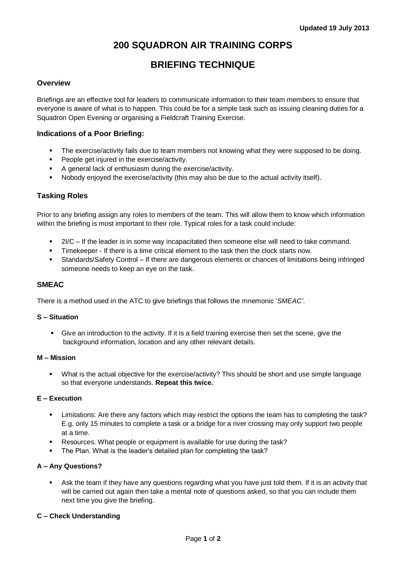# **200 SQUADRON AIR TRAINING CORPS**

# **BRIEFING TECHNIQUE**

# **Overview**

Briefings are an effective tool for leaders to communicate information to their team members to ensure that everyone is aware of what is to happen. This could be for a simple task such as issuing cleaning duties for a Squadron Open Evening or organising a Fieldcraft Training Exercise.

# **Indications of a Poor Briefing:**

- **The exercise/activity fails due to team members not knowing what they were supposed to be doing.**
- **People get injured in the exercise/activity.**
- A general lack of enthusiasm during the exercise/activity.
- Nobody enjoyed the exercise/activity (this may also be due to the actual activity itself).

# **Tasking Roles**

Prior to any briefing assign any roles to members of the team. This will allow them to know which information within the briefing is most important to their role. Typical roles for a task could include:

- 2I/C If the leader is in some way incapacitated then someone else will need to take command.
- Timekeeper If there is a time critical element to the task then the clock starts now.
- Standards/Safety Control If there are dangerous elements or chances of limitations being infringed someone needs to keep an eye on the task.

### **SMEAC**

There is a method used in the ATC to give briefings that follows the mnemonic '*SMEAC'*.

### **S – Situation**

 Give an introduction to the activity. If it is a field training exercise then set the scene, give the background information, location and any other relevant details.

### **M – Mission**

 What is the actual objective for the exercise/activity? This should be short and use simple language so that everyone understands. **Repeat this twice.**

#### **E – Execution**

- **EXECT** Limitations: Are there any factors which may restrict the options the team has to completing the task? E.g. only 15 minutes to complete a task or a bridge for a river crossing may only support two people at a time.
- Resources. What people or equipment is available for use during the task?
- The Plan. What is the leader's detailed plan for completing the task?

### **A – Any Questions?**

 Ask the team if they have any questions regarding what you have just told them. If it is an activity that will be carried out again then take a mental note of questions asked, so that you can include them next time you give the briefing.

### **C – Check Understanding**